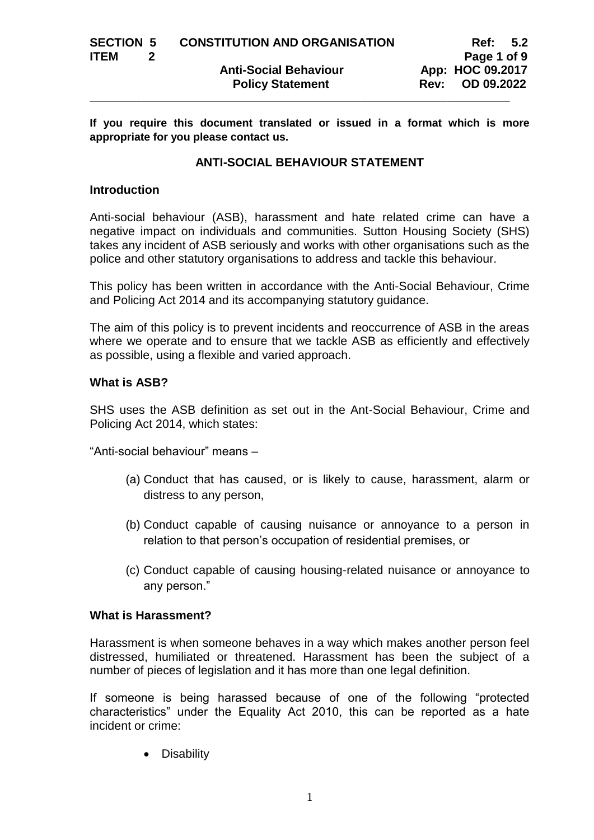**If you require this document translated or issued in a format which is more appropriate for you please contact us.**

# **ANTI-SOCIAL BEHAVIOUR STATEMENT**

### **Introduction**

Anti-social behaviour (ASB), harassment and hate related crime can have a negative impact on individuals and communities. Sutton Housing Society (SHS) takes any incident of ASB seriously and works with other organisations such as the police and other statutory organisations to address and tackle this behaviour.

This policy has been written in accordance with the Anti-Social Behaviour, Crime and Policing Act 2014 and its accompanying statutory guidance.

The aim of this policy is to prevent incidents and reoccurrence of ASB in the areas where we operate and to ensure that we tackle ASB as efficiently and effectively as possible, using a flexible and varied approach.

# **What is ASB?**

SHS uses the ASB definition as set out in the Ant-Social Behaviour, Crime and Policing Act 2014, which states:

"Anti-social behaviour" means –

- (a) Conduct that has caused, or is likely to cause, harassment, alarm or distress to any person,
- (b) Conduct capable of causing nuisance or annoyance to a person in relation to that person's occupation of residential premises, or
- (c) Conduct capable of causing housing-related nuisance or annoyance to any person."

### **What is Harassment?**

Harassment is when someone behaves in a way which makes another person feel distressed, humiliated or threatened. Harassment has been the subject of a number of pieces of legislation and it has more than one legal definition.

If someone is being harassed because of one of the following "protected characteristics" under the Equality Act 2010, this can be reported as a hate incident or crime:

• Disability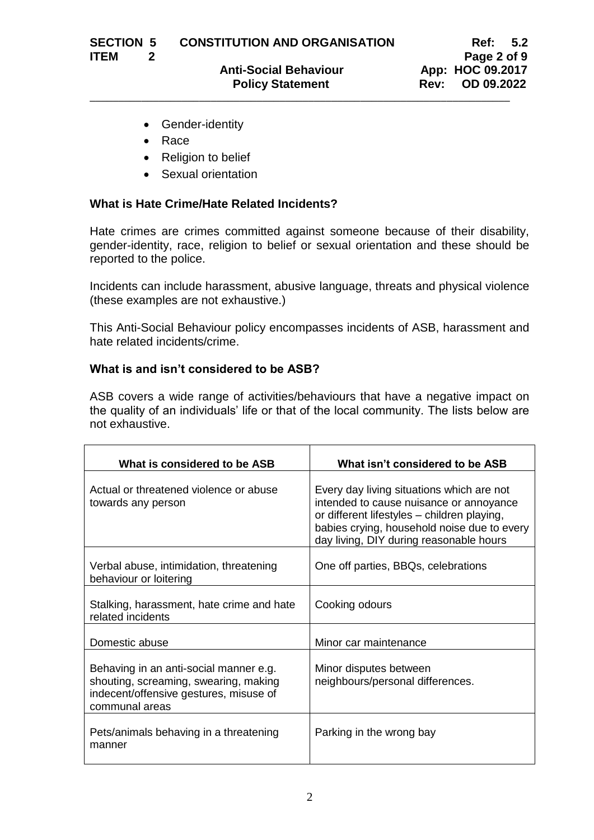- Gender-identity
- Race
- Religion to belief
- Sexual orientation

# **What is Hate Crime/Hate Related Incidents?**

Hate crimes are crimes committed against someone because of their disability, gender-identity, race, religion to belief or sexual orientation and these should be reported to the police.

Incidents can include harassment, abusive language, threats and physical violence (these examples are not exhaustive.)

This Anti-Social Behaviour policy encompasses incidents of ASB, harassment and hate related incidents/crime.

# **What is and isn't considered to be ASB?**

ASB covers a wide range of activities/behaviours that have a negative impact on the quality of an individuals' life or that of the local community. The lists below are not exhaustive.

| What is considered to be ASB                                                                                                                | What isn't considered to be ASB                                                                                                                                                                                               |
|---------------------------------------------------------------------------------------------------------------------------------------------|-------------------------------------------------------------------------------------------------------------------------------------------------------------------------------------------------------------------------------|
| Actual or threatened violence or abuse<br>towards any person                                                                                | Every day living situations which are not<br>intended to cause nuisance or annoyance<br>or different lifestyles - children playing,<br>babies crying, household noise due to every<br>day living, DIY during reasonable hours |
| Verbal abuse, intimidation, threatening<br>behaviour or loitering                                                                           | One off parties, BBQs, celebrations                                                                                                                                                                                           |
| Stalking, harassment, hate crime and hate<br>related incidents                                                                              | Cooking odours                                                                                                                                                                                                                |
| Domestic abuse                                                                                                                              | Minor car maintenance                                                                                                                                                                                                         |
| Behaving in an anti-social manner e.g.<br>shouting, screaming, swearing, making<br>indecent/offensive gestures, misuse of<br>communal areas | Minor disputes between<br>neighbours/personal differences.                                                                                                                                                                    |
| Pets/animals behaving in a threatening<br>manner                                                                                            | Parking in the wrong bay                                                                                                                                                                                                      |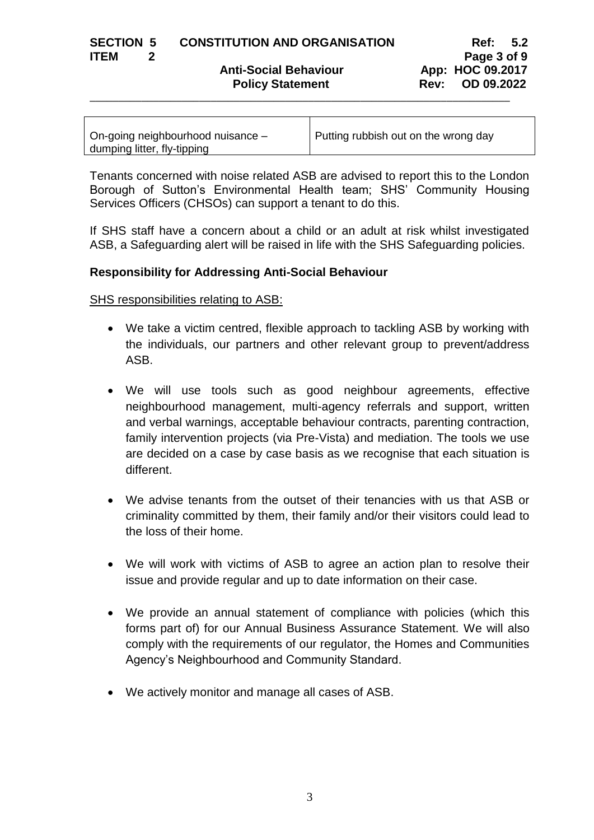| <b>SECTION 5</b> | <b>CONSTITUTION AND ORGANISATION</b> | Ref: 5.2 |  |
|------------------|--------------------------------------|----------|--|
| ------           |                                      |          |  |

Anti-Social Behaviour **App: HOC 09.2017 Policy Statement Rev: OD 09.2022** 

**ITEM** 2 **Page 3** of 9

| On-going neighbourhood nuisance - | Putting rubbish out on the wrong day |
|-----------------------------------|--------------------------------------|
| dumping litter, fly-tipping       |                                      |

\_\_\_\_\_\_\_\_\_\_\_\_\_\_\_\_\_\_\_\_\_\_\_\_\_\_\_\_\_\_\_\_\_\_\_\_\_\_\_\_\_\_\_\_\_\_\_\_\_\_\_\_\_\_\_\_\_\_\_\_\_\_\_\_\_\_\_\_\_\_\_\_\_

Tenants concerned with noise related ASB are advised to report this to the London Borough of Sutton's Environmental Health team; SHS' Community Housing Services Officers (CHSOs) can support a tenant to do this.

If SHS staff have a concern about a child or an adult at risk whilst investigated ASB, a Safeguarding alert will be raised in life with the SHS Safeguarding policies.

# **Responsibility for Addressing Anti-Social Behaviour**

SHS responsibilities relating to ASB:

- We take a victim centred, flexible approach to tackling ASB by working with the individuals, our partners and other relevant group to prevent/address ASB.
- We will use tools such as good neighbour agreements, effective neighbourhood management, multi-agency referrals and support, written and verbal warnings, acceptable behaviour contracts, parenting contraction, family intervention projects (via Pre-Vista) and mediation. The tools we use are decided on a case by case basis as we recognise that each situation is different.
- We advise tenants from the outset of their tenancies with us that ASB or criminality committed by them, their family and/or their visitors could lead to the loss of their home.
- We will work with victims of ASB to agree an action plan to resolve their issue and provide regular and up to date information on their case.
- We provide an annual statement of compliance with policies (which this forms part of) for our Annual Business Assurance Statement. We will also comply with the requirements of our regulator, the Homes and Communities Agency's Neighbourhood and Community Standard.
- We actively monitor and manage all cases of ASB.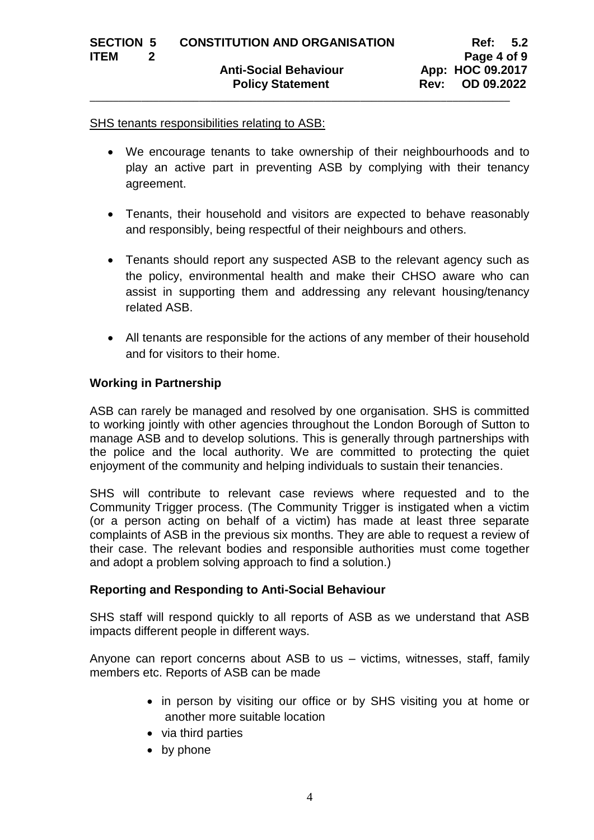### SHS tenants responsibilities relating to ASB:

- We encourage tenants to take ownership of their neighbourhoods and to play an active part in preventing ASB by complying with their tenancy agreement.
- Tenants, their household and visitors are expected to behave reasonably and responsibly, being respectful of their neighbours and others.
- Tenants should report any suspected ASB to the relevant agency such as the policy, environmental health and make their CHSO aware who can assist in supporting them and addressing any relevant housing/tenancy related ASB.
- All tenants are responsible for the actions of any member of their household and for visitors to their home.

### **Working in Partnership**

ASB can rarely be managed and resolved by one organisation. SHS is committed to working jointly with other agencies throughout the London Borough of Sutton to manage ASB and to develop solutions. This is generally through partnerships with the police and the local authority. We are committed to protecting the quiet enjoyment of the community and helping individuals to sustain their tenancies.

SHS will contribute to relevant case reviews where requested and to the Community Trigger process. (The Community Trigger is instigated when a victim (or a person acting on behalf of a victim) has made at least three separate complaints of ASB in the previous six months. They are able to request a review of their case. The relevant bodies and responsible authorities must come together and adopt a problem solving approach to find a solution.)

### **Reporting and Responding to Anti-Social Behaviour**

SHS staff will respond quickly to all reports of ASB as we understand that ASB impacts different people in different ways.

Anyone can report concerns about ASB to us – victims, witnesses, staff, family members etc. Reports of ASB can be made

- in person by visiting our office or by SHS visiting you at home or another more suitable location
- via third parties
- by phone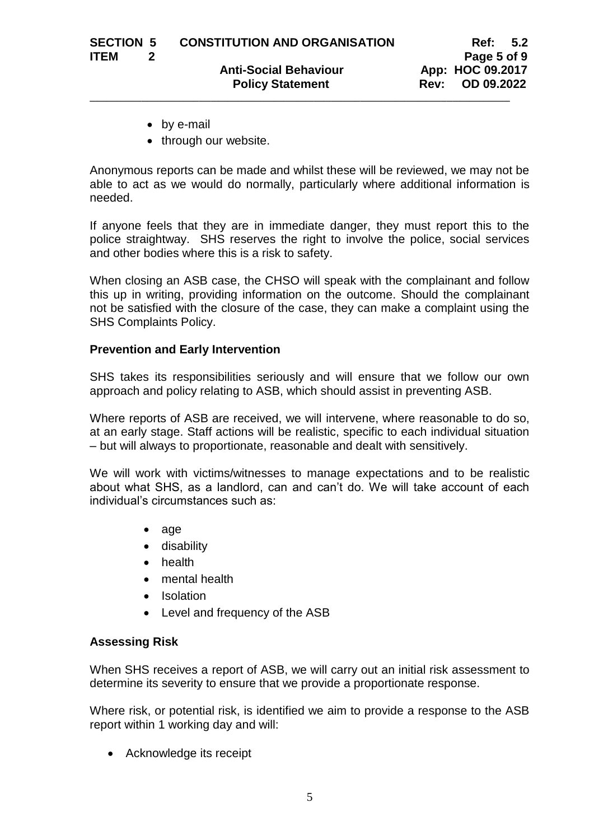- by e-mail
- through our website.

Anonymous reports can be made and whilst these will be reviewed, we may not be able to act as we would do normally, particularly where additional information is needed.

If anyone feels that they are in immediate danger, they must report this to the police straightway. SHS reserves the right to involve the police, social services and other bodies where this is a risk to safety.

When closing an ASB case, the CHSO will speak with the complainant and follow this up in writing, providing information on the outcome. Should the complainant not be satisfied with the closure of the case, they can make a complaint using the SHS Complaints Policy.

### **Prevention and Early Intervention**

SHS takes its responsibilities seriously and will ensure that we follow our own approach and policy relating to ASB, which should assist in preventing ASB.

Where reports of ASB are received, we will intervene, where reasonable to do so, at an early stage. Staff actions will be realistic, specific to each individual situation – but will always to proportionate, reasonable and dealt with sensitively.

We will work with victims/witnesses to manage expectations and to be realistic about what SHS, as a landlord, can and can't do. We will take account of each individual's circumstances such as:

- age
- **•** disability
- health
- mental health
- Isolation
- Level and frequency of the ASB

### **Assessing Risk**

When SHS receives a report of ASB, we will carry out an initial risk assessment to determine its severity to ensure that we provide a proportionate response.

Where risk, or potential risk, is identified we aim to provide a response to the ASB report within 1 working day and will:

Acknowledge its receipt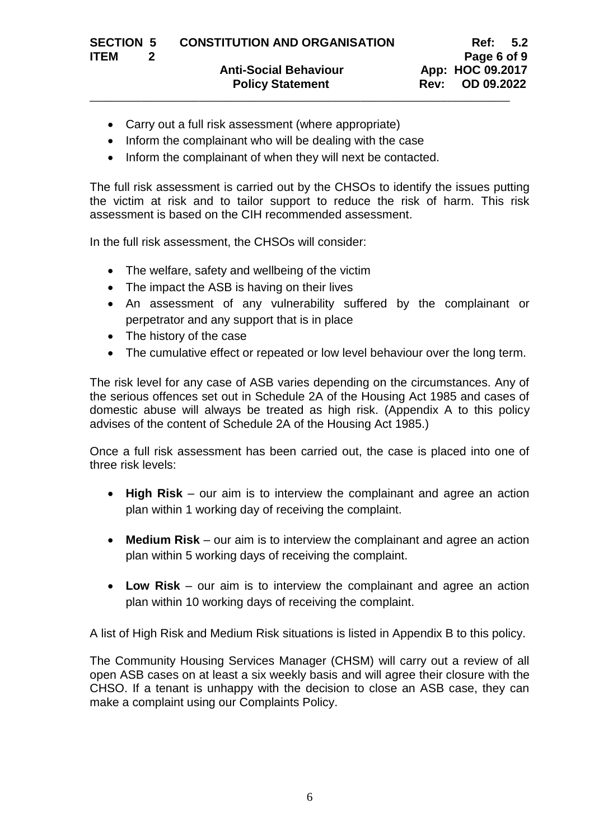- Carry out a full risk assessment (where appropriate)
- Inform the complainant who will be dealing with the case
- Inform the complainant of when they will next be contacted.

The full risk assessment is carried out by the CHSOs to identify the issues putting the victim at risk and to tailor support to reduce the risk of harm. This risk assessment is based on the CIH recommended assessment.

In the full risk assessment, the CHSOs will consider:

- The welfare, safety and wellbeing of the victim
- The impact the ASB is having on their lives
- An assessment of any vulnerability suffered by the complainant or perpetrator and any support that is in place
- The history of the case
- The cumulative effect or repeated or low level behaviour over the long term.

The risk level for any case of ASB varies depending on the circumstances. Any of the serious offences set out in Schedule 2A of the Housing Act 1985 and cases of domestic abuse will always be treated as high risk. (Appendix A to this policy advises of the content of Schedule 2A of the Housing Act 1985.)

Once a full risk assessment has been carried out, the case is placed into one of three risk levels:

- **High Risk** our aim is to interview the complainant and agree an action plan within 1 working day of receiving the complaint.
- **Medium Risk** our aim is to interview the complainant and agree an action plan within 5 working days of receiving the complaint.
- **Low Risk** our aim is to interview the complainant and agree an action plan within 10 working days of receiving the complaint.

A list of High Risk and Medium Risk situations is listed in Appendix B to this policy.

The Community Housing Services Manager (CHSM) will carry out a review of all open ASB cases on at least a six weekly basis and will agree their closure with the CHSO. If a tenant is unhappy with the decision to close an ASB case, they can make a complaint using our Complaints Policy.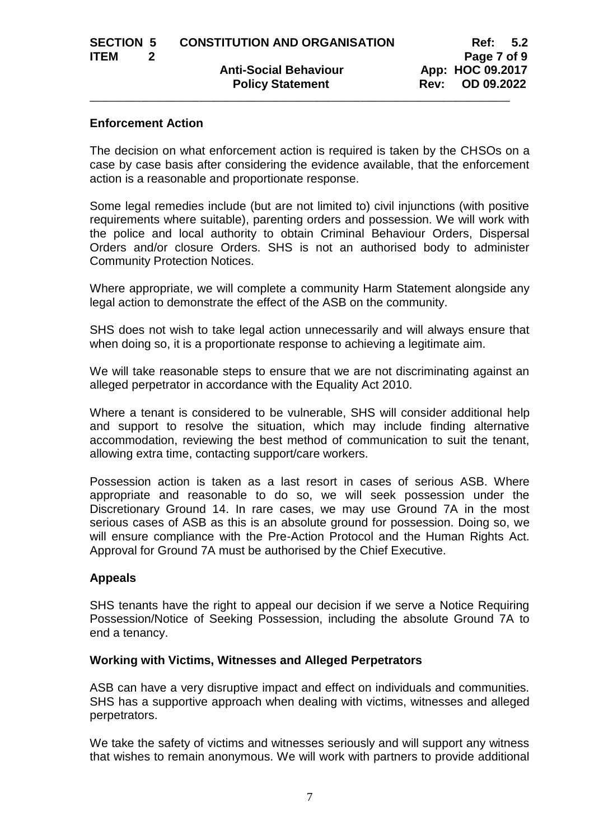### **Enforcement Action**

The decision on what enforcement action is required is taken by the CHSOs on a case by case basis after considering the evidence available, that the enforcement action is a reasonable and proportionate response.

Some legal remedies include (but are not limited to) civil injunctions (with positive requirements where suitable), parenting orders and possession. We will work with the police and local authority to obtain Criminal Behaviour Orders, Dispersal Orders and/or closure Orders. SHS is not an authorised body to administer Community Protection Notices.

Where appropriate, we will complete a community Harm Statement alongside any legal action to demonstrate the effect of the ASB on the community.

SHS does not wish to take legal action unnecessarily and will always ensure that when doing so, it is a proportionate response to achieving a legitimate aim.

We will take reasonable steps to ensure that we are not discriminating against an alleged perpetrator in accordance with the Equality Act 2010.

Where a tenant is considered to be vulnerable, SHS will consider additional help and support to resolve the situation, which may include finding alternative accommodation, reviewing the best method of communication to suit the tenant, allowing extra time, contacting support/care workers.

Possession action is taken as a last resort in cases of serious ASB. Where appropriate and reasonable to do so, we will seek possession under the Discretionary Ground 14. In rare cases, we may use Ground 7A in the most serious cases of ASB as this is an absolute ground for possession. Doing so, we will ensure compliance with the Pre-Action Protocol and the Human Rights Act. Approval for Ground 7A must be authorised by the Chief Executive.

### **Appeals**

SHS tenants have the right to appeal our decision if we serve a Notice Requiring Possession/Notice of Seeking Possession, including the absolute Ground 7A to end a tenancy.

### **Working with Victims, Witnesses and Alleged Perpetrators**

ASB can have a very disruptive impact and effect on individuals and communities. SHS has a supportive approach when dealing with victims, witnesses and alleged perpetrators.

We take the safety of victims and witnesses seriously and will support any witness that wishes to remain anonymous. We will work with partners to provide additional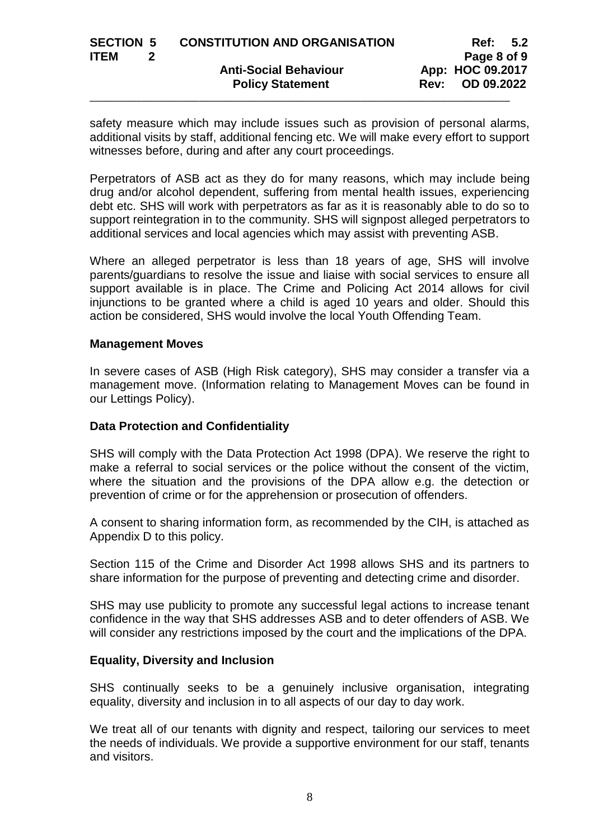| <b>SECTION 5</b> | <b>CONSTITUTION AND ORGANISATION</b> | Ref:             | $-5.2$ |
|------------------|--------------------------------------|------------------|--------|
| <b>ITEM</b>      |                                      | Page 8 of 9      |        |
|                  | <b>Anti-Social Behaviour</b>         | App: HOC 09.2017 |        |
|                  | <b>Policy Statement</b>              | Rev: OD 09.2022  |        |
|                  |                                      |                  |        |

safety measure which may include issues such as provision of personal alarms, additional visits by staff, additional fencing etc. We will make every effort to support witnesses before, during and after any court proceedings.

Perpetrators of ASB act as they do for many reasons, which may include being drug and/or alcohol dependent, suffering from mental health issues, experiencing debt etc. SHS will work with perpetrators as far as it is reasonably able to do so to support reintegration in to the community. SHS will signpost alleged perpetrators to additional services and local agencies which may assist with preventing ASB.

Where an alleged perpetrator is less than 18 years of age, SHS will involve parents/guardians to resolve the issue and liaise with social services to ensure all support available is in place. The Crime and Policing Act 2014 allows for civil injunctions to be granted where a child is aged 10 years and older. Should this action be considered, SHS would involve the local Youth Offending Team.

#### **Management Moves**

In severe cases of ASB (High Risk category), SHS may consider a transfer via a management move. (Information relating to Management Moves can be found in our Lettings Policy).

### **Data Protection and Confidentiality**

SHS will comply with the Data Protection Act 1998 (DPA). We reserve the right to make a referral to social services or the police without the consent of the victim, where the situation and the provisions of the DPA allow e.g. the detection or prevention of crime or for the apprehension or prosecution of offenders.

A consent to sharing information form, as recommended by the CIH, is attached as Appendix D to this policy.

Section 115 of the Crime and Disorder Act 1998 allows SHS and its partners to share information for the purpose of preventing and detecting crime and disorder.

SHS may use publicity to promote any successful legal actions to increase tenant confidence in the way that SHS addresses ASB and to deter offenders of ASB. We will consider any restrictions imposed by the court and the implications of the DPA.

### **Equality, Diversity and Inclusion**

SHS continually seeks to be a genuinely inclusive organisation, integrating equality, diversity and inclusion in to all aspects of our day to day work.

We treat all of our tenants with dignity and respect, tailoring our services to meet the needs of individuals. We provide a supportive environment for our staff, tenants and visitors.